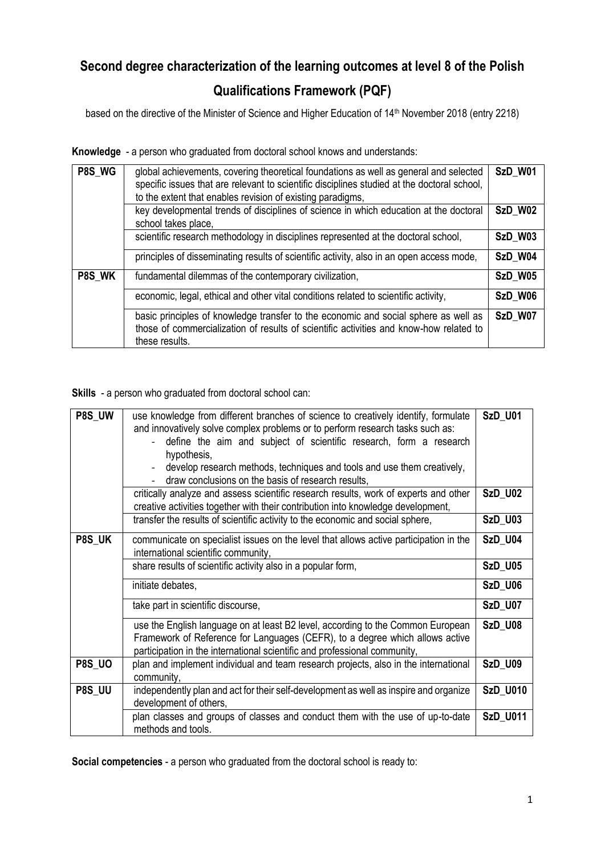## **Second degree characterization of the learning outcomes at level 8 of the Polish**

## **Qualifications Framework (PQF)**

based on the directive of the Minister of Science and Higher Education of 14<sup>th</sup> November 2018 (entry 2218)

**Knowledge** - a person who graduated from doctoral school knows and understands:

| P8S_WG | global achievements, covering theoretical foundations as well as general and selected<br>specific issues that are relevant to scientific disciplines studied at the doctoral school,<br>to the extent that enables revision of existing paradigms, | SzD_W01 |
|--------|----------------------------------------------------------------------------------------------------------------------------------------------------------------------------------------------------------------------------------------------------|---------|
|        | key developmental trends of disciplines of science in which education at the doctoral<br>school takes place,                                                                                                                                       | SzD_W02 |
|        | scientific research methodology in disciplines represented at the doctoral school,                                                                                                                                                                 | SzD_W03 |
|        | principles of disseminating results of scientific activity, also in an open access mode,                                                                                                                                                           | SzD W04 |
| P8S WK | fundamental dilemmas of the contemporary civilization,                                                                                                                                                                                             | SzD_W05 |
|        | economic, legal, ethical and other vital conditions related to scientific activity,                                                                                                                                                                | SzD_W06 |
|        | basic principles of knowledge transfer to the economic and social sphere as well as<br>those of commercialization of results of scientific activities and know-how related to<br>these results.                                                    | SzD W07 |

**Skills** - a person who graduated from doctoral school can:

| P8S_UW        | use knowledge from different branches of science to creatively identify, formulate<br>and innovatively solve complex problems or to perform research tasks such as:                                                                          | SzD_U01         |
|---------------|----------------------------------------------------------------------------------------------------------------------------------------------------------------------------------------------------------------------------------------------|-----------------|
|               | define the aim and subject of scientific research, form a research<br>hypothesis,                                                                                                                                                            |                 |
|               | develop research methods, techniques and tools and use them creatively,<br>draw conclusions on the basis of research results.                                                                                                                |                 |
|               | critically analyze and assess scientific research results, work of experts and other<br>creative activities together with their contribution into knowledge development,                                                                     | SzD_U02         |
|               | transfer the results of scientific activity to the economic and social sphere,                                                                                                                                                               | <b>SzD_U03</b>  |
| P8S_UK        | communicate on specialist issues on the level that allows active participation in the<br>international scientific community,                                                                                                                 | SzD_U04         |
|               | share results of scientific activity also in a popular form,                                                                                                                                                                                 | <b>SzD_U05</b>  |
|               | initiate debates,                                                                                                                                                                                                                            | SzD_U06         |
|               | take part in scientific discourse,                                                                                                                                                                                                           | <b>SzD_U07</b>  |
|               | use the English language on at least B2 level, according to the Common European<br>Framework of Reference for Languages (CEFR), to a degree which allows active<br>participation in the international scientific and professional community, | SzD_U08         |
| <b>P8S_UO</b> | plan and implement individual and team research projects, also in the international<br>community,                                                                                                                                            | SzD_U09         |
| P8S_UU        | independently plan and act for their self-development as well as inspire and organize<br>development of others,                                                                                                                              | <b>SzD_U010</b> |
|               | plan classes and groups of classes and conduct them with the use of up-to-date<br>methods and tools.                                                                                                                                         | SzD_U011        |

**Social competencies** - a person who graduated from the doctoral school is ready to: